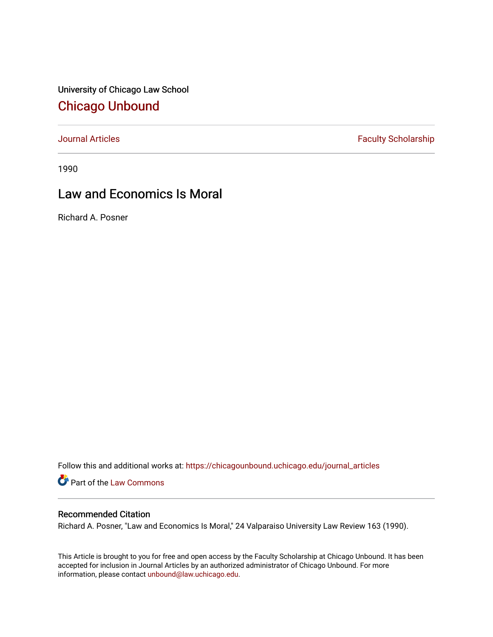University of Chicago Law School [Chicago Unbound](https://chicagounbound.uchicago.edu/)

[Journal Articles](https://chicagounbound.uchicago.edu/journal_articles) **Faculty Scholarship Faculty Scholarship** 

1990

## Law and Economics Is Moral

Richard A. Posner

Follow this and additional works at: [https://chicagounbound.uchicago.edu/journal\\_articles](https://chicagounbound.uchicago.edu/journal_articles?utm_source=chicagounbound.uchicago.edu%2Fjournal_articles%2F1902&utm_medium=PDF&utm_campaign=PDFCoverPages) 

Part of the [Law Commons](http://network.bepress.com/hgg/discipline/578?utm_source=chicagounbound.uchicago.edu%2Fjournal_articles%2F1902&utm_medium=PDF&utm_campaign=PDFCoverPages)

## Recommended Citation

Richard A. Posner, "Law and Economics Is Moral," 24 Valparaiso University Law Review 163 (1990).

This Article is brought to you for free and open access by the Faculty Scholarship at Chicago Unbound. It has been accepted for inclusion in Journal Articles by an authorized administrator of Chicago Unbound. For more information, please contact [unbound@law.uchicago.edu](mailto:unbound@law.uchicago.edu).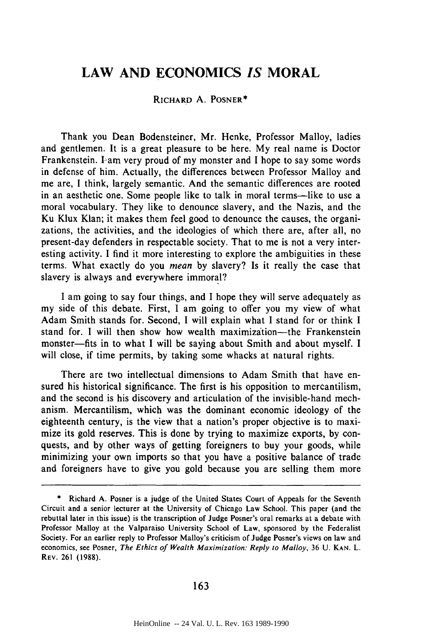## **LAW AND ECONOMICS** *IS* **MORAL**

## RICHARD **A. POSNER\***

Thank you Dean Bodensteiner, Mr. Henke, Professor Malloy, ladies and gentlemen. It is a great pleasure to be here. My real name is Doctor Frankenstein. Fam very proud of my monster and I hope to say some words in defense of him. Actually, the differences between Professor Malloy and me are, I think, largely semantic. And the semantic differences are rooted in an aesthetic one. Some people like to talk in moral terms-like to use a moral vocabulary. They like to denounce slavery, and the Nazis, and the Ku Klux Klan; it makes them feel good to denounce the causes, the organizations, the activities, and the ideologies of which there are, after all, no present-day defenders in respectable society. That to me is not a very interesting activity. I find it more interesting to explore the ambiguities in these terms. What exactly do you *mean* by slavery? Is it really the case that slavery is always and everywhere immoral?

I am going to say four things, and I hope they will serve adequately as my side of this debate. First, I am going to offer you my view of what Adam Smith stands for. Second, I will explain what I stand for or think I stand for. I will then show how wealth maximization—the Frankenstein monster—fits in to what I will be saying about Smith and about myself. I will close, if time permits, by taking some whacks at natural rights.

There are two intellectual dimensions to Adam Smith that have ensured his historical significance. The first is his opposition to mercantilism, and the second is his discovery and articulation of the invisible-hand mechanism. Mercantilism, which was the dominant economic ideology of the eighteenth century, is the view that a nation's proper objective is to maximize its gold reserves. This is done by trying to maximize exports, by conquests, and by other ways of getting foreigners to buy your goods, while minimizing your own imports so that you have a positive balance of trade and foreigners have to give you gold because you are selling them more

<sup>\*</sup> Richard A. Posner is a judge of the United States Court of Appeals for the Seventh Circuit and a senior lecturer at the University of Chicago Law School. This paper (and the rebuttal later in this issue) is the transcription of Judge Posner's oral remarks at a debate with Professor Malloy at the Valparaiso University School of Law, sponsored by the Federalist Society. For an earlier reply to Professor Malloy's criticism of Judge Posner's views on law and economics, see Posner, *The Ethics of Wealth Maximization: Reply* to *Malloy,* 36 U. **KAN.** L. REV. 261 (1988).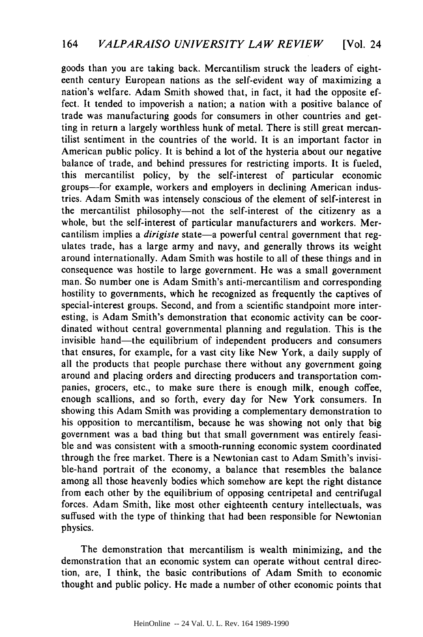goods than you are taking back. Mercantilism struck the leaders of eighteenth century European nations as the self-evident way of maximizing a nation's welfare. Adam Smith showed that, in fact, it had the opposite effect. It tended to impoverish a nation; a nation with a positive balance of trade was manufacturing goods for consumers in other countries and getting in return a largely worthless hunk of metal. There is still great mercantilist sentiment in the countries of the world. It is an important factor in American public policy. It is behind a lot of the hysteria about our negative balance of trade, and behind pressures for restricting imports. It is fueled, this mercantilist policy, by the self-interest of particular economic groups-for example, workers and employers in declining American industries. Adam Smith was intensely conscious of the element of self-interest in the mercantilist philosophy-not the self-interest of the citizenry as a whole, but the self-interest of particular manufacturers and workers. Mercantilism implies a *dirigiste* state-a powerful central government that regulates trade, has a large army and navy, and generally throws its weight around internationally. Adam Smith was hostile to all of these things and in consequence was hostile to large government. He was a small government man. So number one is Adam Smith's anti-mercantilism and corresponding hostility to governments, which he recognized as frequently the captives of special-interest groups. Second, and from a scientific standpoint more interesting, is Adam Smith's demonstration that economic activity can be coordinated without central governmental planning and regulation. This is the invisible hand—the equilibrium of independent producers and consumers that ensures, for example, for a vast city like New York, a daily supply of all the products that people purchase there without any government going around and placing orders and directing producers and transportation companies, grocers, etc., to make sure there is enough milk, enough coffee, enough scallions, and so forth, every day for New York consumers. In showing this Adam Smith was providing a complementary demonstration to his opposition to mercantilism, because he was showing not only that big government was a bad thing but that small government was entirely feasible and was consistent with a smooth-running economic system coordinated through the free market. There is a Newtonian cast to Adam Smith's invisible-hand portrait of the economy, a balance that resembles the balance among all those heavenly bodies which somehow are kept the right distance from each other by the equilibrium of opposing centripetal and centrifugal forces. Adam Smith, like most other eighteenth century intellectuals, was suffused with the type of thinking that had been responsible for Newtonian physics.

The demonstration that mercantilism is wealth minimizing, and the demonstration that an economic system can operate without central direction, are, I think, the basic contributions of Adam Smith to economic thought and public policy. He made a number of other economic points that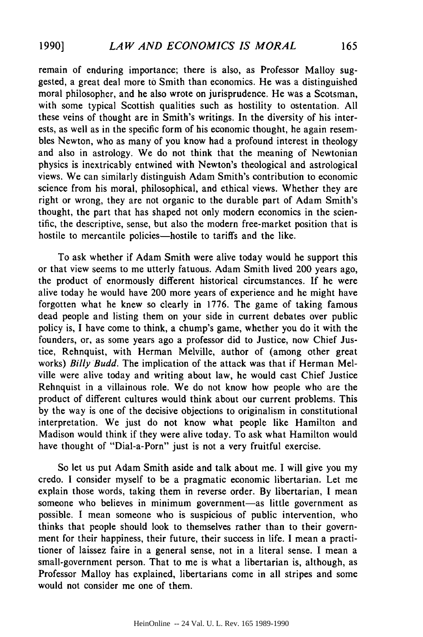remain of enduring importance; there is also, as Professor Malloy suggested, a great deal more to Smith than economics. He was a distinguished moral philosopher, and he also wrote on jurisprudence. He was a Scotsman, with some typical Scottish qualities such as hostility to ostentation. All these veins of thought are in Smith's writings. In the diversity of his interests, as well as in the specific form of his economic thought, he again resembles Newton, who as many of you know had a profound interest in theology and also in astrology. We do not think that the meaning of Newtonian physics is inextricably entwined with Newton's theological and astrological views. We can similarly distinguish Adam Smith's contribution to economic science from his moral, philosophical, and ethical views. Whether they are right or wrong, they are not organic to the durable part of Adam Smith's thought, the part that has shaped not only modern economics in the scientific, the descriptive, sense, but also the modern free-market position that is hostile to mercantile policies—hostile to tariffs and the like.

To ask whether if Adam Smith were alive today would he support this or that view seems to me utterly fatuous. Adam Smith lived 200 years ago, the product of enormously different historical circumstances. If he were alive today he would have 200 more years of experience and he might have forgotten what he knew so clearly in 1776. The game of taking famous dead people and listing them on your side in current debates over public policy is, I have come to think, a chump's game, whether you do it with the founders, or, as some years ago a professor did to Justice, now Chief Justice, Rehnquist, with Herman Melville, author of (among other great works) *Billy* Budd. The implication of the attack was that if Herman Melville were alive today and writing about law, he would cast Chief Justice Rehnquist in a villainous role. We do not know how people who are the product of different cultures would think about our current problems. This by the way is one of the decisive objections to originalism in constitutional interpretation. We just do not know what people like Hamilton and Madison would think if they were alive today. To ask what Hamilton would have thought of "Dial-a-Porn" just is not a very fruitful exercise.

So let us put Adam Smith aside and talk about me. I will give you my credo. I consider myself to be a pragmatic economic libertarian. Let me explain those words, taking them in reverse order. By libertarian, I mean someone who believes in minimum government-as little government as possible. I mean someone who is suspicious of public intervention, who thinks that people should look to themselves rather than to their government for their happiness, their future, their success in life. I mean a practitioner of laissez faire in a general sense, not in a literal sense. I mean a small-government person. That to me is what a libertarian is, although, as Professor Malloy has explained, libertarians come in all stripes and some would not consider me one of them.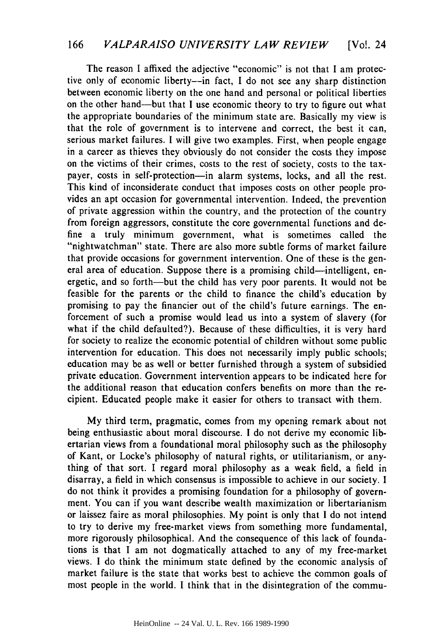The reason I affixed the adjective "economic" is not that I am protective only of economic liberty-in fact, I do not see any sharp distinction between economic liberty on the one hand and personal or political liberties on the other hand-but that I use economic theory to try to figure out what the appropriate boundaries of the minimum state are. Basically my view is that the role of government is to intervene and correct, the best it can, serious market failures. I will give two examples. First, when people engage in a career as thieves they obviously do not consider the costs they impose on the victims of their crimes, costs to the rest of society, costs to the taxpayer, costs in self-protection-in alarm systems, locks, and all the rest. This kind of inconsiderate conduct that imposes costs on other people provides an apt occasion for governmental intervention. Indeed, the prevention of private aggression within the country, and the protection of the country from foreign aggressors, constitute the core governmental functions and define a truly minimum government, what is sometimes called the "nightwatchman" state. There are also more subtle forms of market failure that provide occasions for government intervention. One of these is the general area of education. Suppose there is a promising child-intelligent, energetic, and so forth-but the child has very poor parents. It would not be feasible for the parents or the child to finance the child's education by promising to pay the financier out of the child's future earnings. The enforcement of such a promise would lead us into a system of slavery (for what if the child defaulted?). Because of these difficulties, it is very hard for society to realize the economic potential of children without some public intervention for education. This does not necessarily imply public schools; education may be as well or better furnished through a system of subsidied private education. Government intervention appears to be indicated here for the additional reason that education confers benefits on more than the recipient. Educated people make it easier for others to transact with them.

My third term, pragmatic, comes from my opening remark about not being enthusiastic about moral discourse. I do not derive my economic libertarian views from a foundational moral philosophy such as the philosophy of Kant, or Locke's philosophy of natural rights, or utilitarianism, or anything of that sort. I regard moral philosophy as a weak field, a field in disarray, a field in which consensus is impossible to achieve in our society. I do not think it provides a promising foundation for a philosophy of government. You can if you want describe wealth maximization or libertarianism or laissez faire as moral philosophies. My point is only that I do not intend to try to derive my free-market views from something more fundamental, more rigorously philosophical. And the consequence of this lack of foundations is that I am not dogmatically attached to any of my free-market views. I do think the minimum state defined by the economic analysis of market failure is the state that works best to achieve the common goals of most people in the world. I think that in the disintegration of the commu-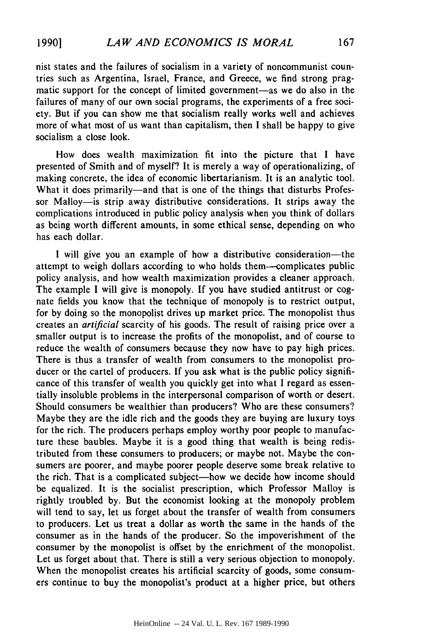nist states and the failures of socialism in a variety of noncommunist countries such as Argentina, Israel, France, and Greece, we find strong pragmatic support for the concept of limited government-as we do also in the failures of many of our own social programs, the experiments of a free society. But if you can show me that socialism really works well and achieves more of what most of us want than capitalism, then I shall be happy to give socialism a close look.

How does wealth maximization fit into the picture that I have presented of Smith and of myself? It is merely a way of operationalizing, of making concrete, the idea of economic libertarianism. It is an analytic tool. What it does primarily-and that is one of the things that disturbs Professor Malloy-is strip away distributive considerations. It strips away the complications introduced in public policy analysis when you think of dollars as being worth different amounts, in some ethical sense, depending on who has each dollar.

I will give you an example of how a distributive consideration-the attempt to weigh dollars according to who holds them--complicates public policy analysis, and how wealth maximization provides a cleaner approach. The example I will give is monopoly. If you have studied antitrust or cognate fields you know that the technique of monopoly is to restrict output, for by doing so the monopolist drives up market price. The monopolist thus creates an *artificial* scarcity of his goods. The result of raising price over a smaller output is to increase the profits of the monopolist, and of course to reduce the wealth of consumers because they now have to pay high prices. There is thus a transfer of wealth from consumers to the monopolist producer or the cartel of producers. If you ask what is the public policy significance of this transfer of wealth you quickly get into what I regard as essentially insoluble problems in the interpersonal comparison of worth or desert. Should consumers be wealthier than producers? Who are these consumers? Maybe they are the idle rich and the goods they are buying are luxury toys for the rich. The producers perhaps employ worthy poor people to manufacture these baubles. Maybe it is a good thing that wealth is being redistributed from these consumers to producers; or maybe not. Maybe the consumers are poorer, and maybe poorer people deserve some break relative to the rich. That is a complicated subject-how we decide how income should be equalized. It is the socialist prescription, which Professor Malloy is rightly troubled by. But the economist looking at the monopoly problem will tend to say, let us forget about the transfer of wealth from consumers to producers. Let us treat a dollar as worth the same in the hands of the consumer as in the hands of the producer. So the impoverishment of the consumer by the monopolist is offset by the enrichment of the monopolist. Let us forget about that. There is still a very serious objection to monopoly. When the monopolist creates his artificial scarcity of goods, some consumers continue to buy the monopolist's product at a higher price, but others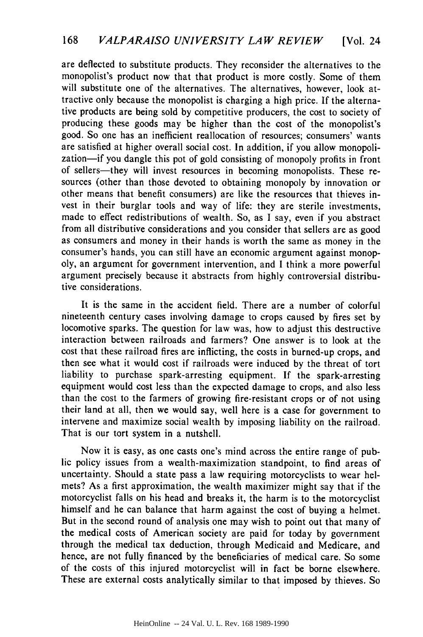are deflected to substitute products. They reconsider the alternatives to the monopolist's product now that that product is more costly. Some of them will substitute one of the alternatives. The alternatives, however, look attractive only because the monopolist is charging a high price. If the alternative products are being sold by competitive producers, the cost to society of producing these goods may be higher than the cost of the monopolist's good. So one has an inefficient reallocation of resources; consumers' wants are satisfied at higher overall social cost. In addition, if you allow monopolization-if you dangle this pot of gold consisting of monopoly profits in front of sellers-they will invest resources in becoming monopolists. These resources (other than those devoted to obtaining monopoly by innovation or other means that benefit consumers) are like the resources that thieves invest in their burglar tools and way of life: they are sterile investments, made to effect redistributions of wealth. So, as I say, even if you abstract from all distributive considerations and you consider that sellers are as good as consumers and money in their hands is worth the same as money in the consumer's hands, you can still have an economic argument against monopoly, an argument for government intervention, and I think a more powerful argument precisely because it abstracts from highly controversial distributive considerations.

It is the same in the accident field. There are a number of colorful nineteenth century cases involving damage to crops caused by fires set by locomotive sparks. The question for law was, how to adjust this destructive interaction between railroads and farmers? One answer is to look at the cost that these railroad fires are inflicting, the costs in burned-up crops, and then see what it would cost if railroads were induced by the threat of tort liability to purchase spark-arresting equipment. If the spark-arresting equipment would cost less than the expected damage to crops, and also less than the cost to the farmers of growing fire-resistant crops or of not using their land at all, then we would say, well here is a case for government to intervene and maximize social wealth by imposing liability on the railroad. That is our tort system in a nutshell.

Now it is easy, as one casts one's mind across the entire range of public policy issues from a wealth-maximization standpoint, to find areas of uncertainty. Should a state pass a law requiring motorcyclists to wear helmets? As a first approximation, the wealth maximizer might say that if the motorcyclist falls on his head and breaks it, the harm is to the motorcyclist himself and he can balance that harm against the cost of buying a helmet. But in the second round of analysis one may wish to point out that many of the medical costs of American society are paid for today by government through the medical tax deduction, through Medicaid and Medicare, and hence, are not fully financed by the beneficiaries of medical care. So some of the costs of this injured motorcyclist will in fact be borne elsewhere. These are external costs analytically similar to that imposed by thieves. So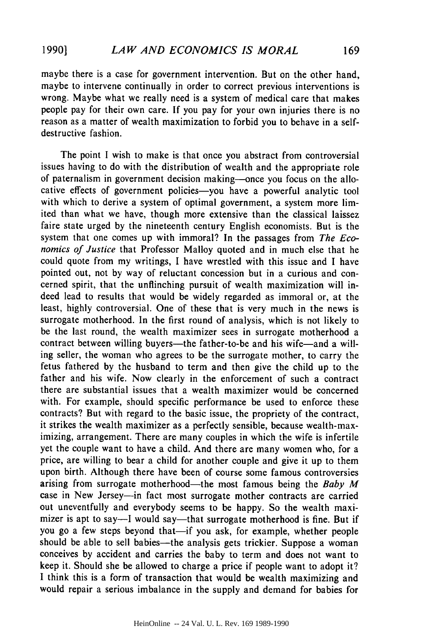maybe there is a case for government intervention. But on the other hand, maybe to intervene continually in order to correct previous interventions is wrong. Maybe what we really need is a system of medical care that makes people pay for their own care. If you pay for your own injuries there is no reason as a matter of wealth maximization to forbid you to behave in a selfdestructive fashion.

The point I wish to make is that once you abstract from controversial issues having to do with the distribution of wealth and the appropriate role of paternalism in government decision making-once you focus on the allocative effects of government policies-you have a powerful analytic tool with which to derive a system of optimal government, a system more limited than what we have, though more extensive than the classical laissez faire state urged by the nineteenth century English economists. But is the system that one comes up with immoral? In the passages from *The Economics of Justice* that Professor Malloy quoted and in much else that he could quote from my writings, I have wrestled with this issue and I have pointed out, not by way of reluctant concession but in a curious and concerned spirit, that the unflinching pursuit of wealth maximization will indeed lead to results that would be widely regarded as immoral or, at the least, highly controversial. One of these that is very much in the news is surrogate motherhood. In the first round of analysis, which is not likely to be the last round, the wealth maximizer sees in surrogate motherhood a contract between willing buyers-the father-to-be and his wife-and a willing seller, the woman who agrees to be the surrogate mother, to carry the fetus fathered by the husband to term and then give the child up to the father and his wife. Now clearly in the enforcement of such a contract there are substantial issues that a wealth maximizer would be concerned with. For example, should specific performance be used to enforce these contracts? But with regard to the basic issue, the propriety of the contract, it strikes the wealth maximizer as a perfectly sensible, because wealth-maximizing, arrangement. There are many couples in which the wife is infertile yet the couple want to have a child. And there are many women who, for a price, are willing to bear a child for another couple and give it up to them upon birth. Although there have been of course some famous controversies arising from surrogate motherhood-the most famous being the *Baby M* case in New Jersey-in fact most surrogate mother contracts are carried out uneventfully and everybody seems to be happy. So the wealth maximizer is apt to say—I would say—that surrogate motherhood is fine. But if you go a few steps beyond that-if you ask, for example, whether people should be able to sell babies—the analysis gets trickier. Suppose a woman conceives by accident and carries the baby to term and does not want to keep it. Should she be allowed to charge a price if people want to adopt it? I think this is a form of transaction that would be wealth maximizing and would repair a serious imbalance in the supply and demand for babies for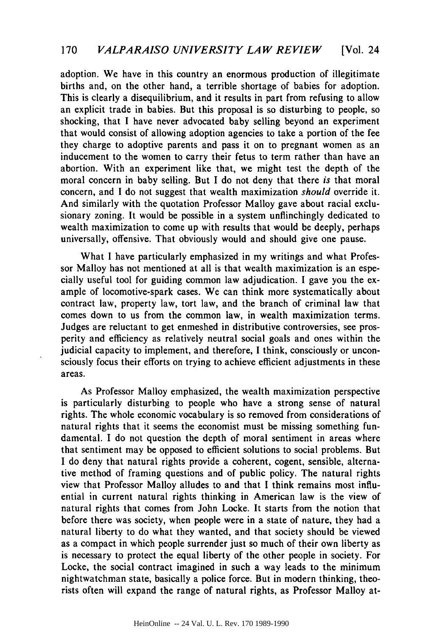adoption. We have in this country an enormous production of illegitimate births and, on the other hand, a terrible shortage of babies for adoption. This is clearly a disequilibrium, and it results in part from refusing to allow an explicit trade in babies. But this proposal is so disturbing to people, so shocking, that I have never advocated baby selling beyond an experiment that would consist of allowing adoption agencies to take a portion of the fee they charge to adoptive parents and pass it on to pregnant women as an inducement to the women to carry their fetus to term rather than have an abortion. With an experiment like that, we might test the depth of the moral concern in baby selling. But I do not deny that there *is* that moral concern, and I do not suggest that wealth maximization *should* override it. And similarly with the quotation Professor Malloy gave about racial exclusionary zoning. It would be possible in a system unflinchingly dedicated to wealth maximization to come up with results that would be deeply, perhaps universally, offensive. That obviously would and should give one pause.

What I have particularly emphasized in my writings and what Professor Malloy has not mentioned at all is that wealth maximization is an especially useful tool for guiding common law adjudication. I gave you the example of locomotive-spark cases. We can think more systematically about contract law, property law, tort law, and the branch of criminal law that comes down to us from the common law, in wealth maximization terms. Judges are reluctant to get enmeshed in distributive controversies, see prosperity and efficiency as relatively neutral social goals and ones within the judicial capacity to implement, and therefore, I think, consciously or unconsciously focus their efforts on trying to achieve efficient adjustments in these areas.

As Professor Malloy emphasized, the wealth maximization perspective is particularly disturbing to people who have a strong sense of natural rights. The whole economic vocabulary is so removed from considerations of natural rights that it seems the economist must be missing something fundamental. I do not question the depth of moral sentiment in areas where that sentiment may be opposed to efficient solutions to social problems. But I do deny that natural rights provide a coherent, cogent, sensible, alternative method of framing questions and of public policy. The natural rights view that Professor Malloy alludes to and that I think remains most influential in current natural rights thinking in American law is the view of natural rights that comes from John Locke. It starts from the notion that before there was society, when people were in a state of nature, they had a natural liberty to do what they wanted, and that society should be viewed as a compact in which people surrender just so much of their own liberty as is necessary to protect the equal liberty of the other people in society. For Locke, the social contract imagined in such a way leads to the minimum nightwatchman state, basically a police force. But in modern thinking, theorists often will expand the range of natural rights, as Professor Malloy at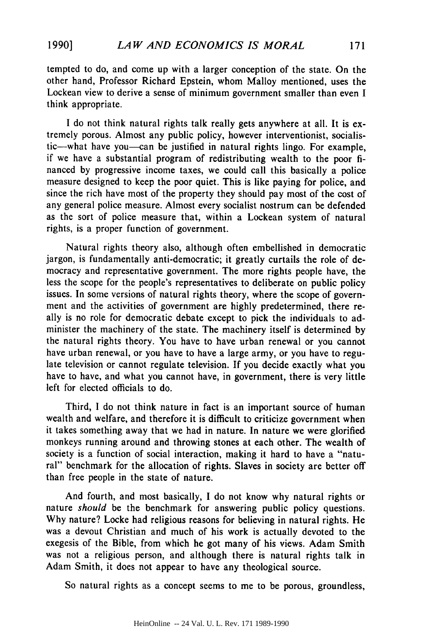tempted to do, and come up with a larger conception of the state. On the other hand, Professor Richard Epstein, whom Malloy mentioned, uses the Lockean view to derive a sense of minimum government smaller than even I think appropriate.

I do not think natural rights talk really gets anywhere at all. It is extremely porous. Almost any public policy, however interventionist, socialistic-what have you-can be justified in natural rights lingo. For example, if we have a substantial program of redistributing wealth to the poor financed by progressive income taxes, we could call this basically a police measure designed to keep the poor quiet. This is like paying for police, and since the rich have most of the property they should pay most of the cost of any general police measure. Almost every socialist nostrum can be defended as the sort of police measure that, within a Lockean system of natural rights, is a proper function of government.

Natural rights theory also, although often embellished in democratic jargon, is fundamentally anti-democratic; it greatly curtails the role of democracy and representative government. The more rights people have, the less the scope for the people's representatives to deliberate on public policy issues. In some versions of natural rights theory, where the scope of government and the activities of government are highly predetermined, there really is no role for democratic debate except to pick the individuals to administer the machinery of the state. The machinery itself is determined by the natural rights theory. You have to have urban renewal or you cannot have urban renewal, or you have to have a large army, or you have to regulate television or cannot regulate television. If you decide exactly what you have to have, and what you cannot have, in government, there is very little left for elected officials to do.

Third, I do not think nature in fact is an important source of human wealth and welfare, and therefore it is difficult to criticize government when it takes something away that we had in nature. In nature we were glorified monkeys running around and throwing stones at each other. The wealth of society is a function of social interaction, making it hard to have a "natural" benchmark for the allocation of rights. Slaves in society are better off than free people in the state of nature.

And fourth, and most basically, I do not know why natural rights or nature *should* be the benchmark for answering public policy questions. Why nature? Locke had religious reasons for believing in natural rights. He was a devout Christian and much of his work is actually devoted to the exegesis of the Bible, from which he got many of his views. Adam Smith was not a religious person, and although there is natural rights talk in Adam Smith, it does not appear to have any theological source.

So natural rights as a concept seems to me to be porous, groundless,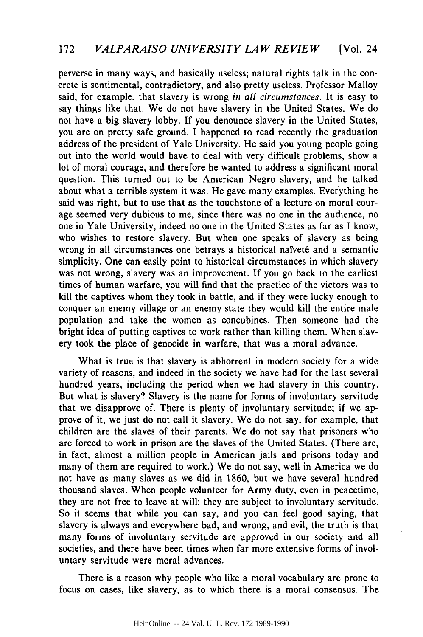perverse in many ways, and basically useless; natural rights talk in the concrete is sentimental, contradictory, and also pretty useless. Professor Malloy said, for example, that slavery is wrong *in all circumstances.* It is easy to say things like that. We do not have slavery in the United States. We do not have a big slavery lobby. If you denounce slavery in the United States, you are on pretty safe ground. I happened to read recently the graduation address of the president of Yale University. He said you young people going out into the world would have to deal with very difficult problems, show a lot of moral courage, and therefore he wanted to address a significant moral question. This turned out to be American Negro slavery, and he talked about what a terrible system it was. He gave many examples. Everything he said was right, but to use that as the touchstone of a lecture on moral courage seemed very dubious to me, since there was no one in the audience, no one in Yale University, indeed no one in the United States as far as I know, who wishes to restore slavery. But when one speaks of slavery as being wrong in all circumstances one betrays a historical naïveté and a semantic simplicity. One can easily point to historical circumstances in which slavery was not wrong, slavery was an improvement. If you go back to the earliest times of human warfare, you will find that the practice of the victors was to kill the captives whom they took in battle, and if they were lucky enough to conquer an enemy village or an enemy state they would kill the entire male population and take the women as concubines. Then someone had the bright idea of putting captives to work rather than killing them. When slavery took the place of genocide in warfare, that was a moral advance.

What is true is that slavery is abhorrent in modern society for a wide variety of reasons, and indeed in the society we have had for the last several hundred years, including the period when we had slavery in this country. But what is slavery? Slavery is the name for forms of involuntary servitude that we disapprove of. There is plenty of involuntary servitude; if we approve of it, we just do not call it slavery. We do not say, for example, that children are the slaves of their parents. We do not say that prisoners who are forced to work in prison are the slaves of the United States. (There are, in fact, almost a million people in American jails and prisons today and many of them are required to work.) We do not say, well in America we do not have as many slaves as we did in 1860, but we have several hundred thousand slaves. When people volunteer for Army duty, even in peacetime, they are not free to leave at will; they are subject to involuntary servitude. So it seems that while you can say, and you can feel good saying, that slavery is always and everywhere bad, and wrong, and evil, the truth is that many forms of involuntary servitude are approved in our society and all societies, and there have been times when far more extensive forms of involuntary servitude were moral advances.

There is a reason why people who like a moral vocabulary are prone to focus on cases, like slavery, as to which there is a moral consensus. The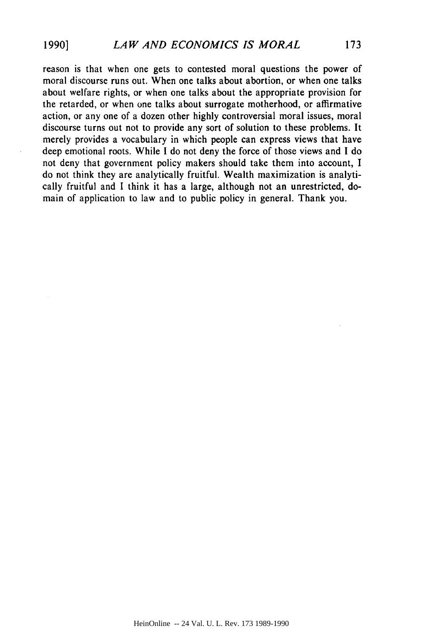reason is that when one gets to contested moral questions the power of moral discourse runs out. When one talks about abortion, or when one talks about welfare rights, or when one talks about the appropriate provision for the retarded, or when one talks about surrogate motherhood, or affirmative action, or any one of a dozen other highly controversial moral issues, moral discourse turns out not to provide any sort of solution to these problems. It merely provides a vocabulary in which people can express views that have deep emotional roots. While I do not deny the force of those views and I do not deny that government policy makers should take them into account, I do not think they are analytically fruitful. Wealth maximization is analytically fruitful and I think it has a large, although not an unrestricted, domain of application to law and to public policy in general. Thank you.